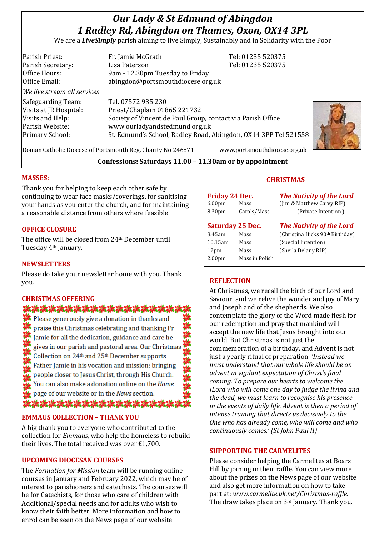# *Our Lady & St Edmund of Abingdon 1 Radley Rd, Abingdon on Thames, Oxon, OX14 3PL*

We are a *LiveSimply* parish aiming to live Simply, Sustainably and in Solidarity with the Poor

| Parish Priest:              | Fr. Jamie McGrath                                               | Tel: 01235 520375 |  |
|-----------------------------|-----------------------------------------------------------------|-------------------|--|
| Parish Secretary:           | Lisa Paterson                                                   | Tel: 01235 520375 |  |
| Office Hours:               | 9am - 12.30pm Tuesday to Friday                                 |                   |  |
| Office Email:               | abingdon@portsmouthdiocese.org.uk                               |                   |  |
| We live stream all services |                                                                 |                   |  |
| Safeguarding Team:          | Tel. 07572 935 230                                              |                   |  |
| Visits at JR Hospital:      | Priest/Chaplain 01865 221732                                    |                   |  |
| Visits and Help:            | Society of Vincent de Paul Group, contact via Parish Office     |                   |  |
| Parish Website:             | www.ourladyandstedmund.org.uk                                   |                   |  |
| Primary School:             | St. Edmund's School, Radley Road, Abingdon, OX14 3PP Tel 521558 |                   |  |
|                             |                                                                 |                   |  |



Roman Catholic Diocese of Portsmouth Reg. Charity No 246871 www.portsmouthdiocese.org.uk

## **Confessions: Saturdays 11.00 – 11.30am or by appointment**

### **MASSES:**

Thank you for helping to keep each other safe by continuing to wear face masks/coverings, for sanitising your hands as you enter the church, and for maintaining a reasonable distance from others where feasible.

## **OFFICE CLOSURE**

The office will be closed from 24th December until Tuesday 4th January.

#### **NEWSLETTERS**

Please do take your newsletter home with you. Thank you.

#### **CHRISTMAS OFFERING**

## \*\*\*\*\*\*\*\*\*\*\*\*\*\*\*\*\*\*

 $\bullet$  Please generously give a donation in thanks and  $\blacksquare$  praise this Christmas celebrating and thanking  $Fr$ Iamie for all the dedication, guidance and care he gives in our parish and pastoral area. Our Christmas Collection on 24<sup>th</sup> and 25<sup>th</sup> December supports Father Jamie in his vocation and mission: bringing people closer to Jesus Christ, through His Church. You can also make a donation online on the Home page of our website or in the News section. **。"张海洋游游游游游游游游游游游游游游游游游游游游游游游游游游游游游游游游游游** 

#### **EMMAUS COLLECTION – THANK YOU**

A big thank you to everyone who contributed to the collection for *Emmaus*, who help the homeless to rebuild their lives. The total received was over £1,700.

#### **UPCOMING DIOCESAN COURSES**

The *Formation for Mission* team will be running online courses in January and February 2022, which may be of interest to parishioners and catechists. The courses will be for Catechists, for those who care of children with Additional/special needs and for adults who wish to know their faith better. More information and how to enrol can be seen on the News page of our website.

## **CHRISTMAS**

| <b>Friday 24 Dec.</b> |             | <b>The Nativity of the Lord</b> |
|-----------------------|-------------|---------------------------------|
| 6.00 <sub>pm</sub>    | Mass        | (Jim & Matthew Carey RIP)       |
| 8.30pm                | Carols/Mass | (Private Intention)             |
|                       |             |                                 |

| <b>Saturday 25 Dec.</b> |                | <b>The Nativity of the Lord</b> |  |
|-------------------------|----------------|---------------------------------|--|
| 8.45am                  | Mass           | (Christina Hicks 90th Birthday) |  |
| 10.15am                 | Mass           | (Special Intention)             |  |
| 12 <sub>pm</sub>        | Mass           | (Sheila Delany RIP)             |  |
| 2.00 <sub>pm</sub>      | Mass in Polish |                                 |  |
|                         |                |                                 |  |

#### **REFLECTION**

At Christmas, we recall the birth of our Lord and Saviour, and we relive the wonder and joy of Mary and Joseph and of the shepherds. We also contemplate the glory of the Word made flesh for our redemption and pray that mankind will accept the new life that Jesus brought into our world. But Christmas is not just the commemoration of a birthday, and Advent is not just a yearly ritual of preparation. *'Instead we must understand that our whole life should be an advent in vigilant expectation of Christ's final coming. To prepare our hearts to welcome the |Lord who will come one day to judge the living and the dead, we must learn to recognise his presence in the events of daily life. Advent is then a period of intense training that directs us decisively to the One who has already come, who will come and who continuously comes.' (St John Paul II)*

#### **SUPPORTING THE CARMELITES**

Please consider helping the Carmelites at Boars Hill by joining in their raffle. You can view more about the prizes on the News page of our website and also get more information on how to take part at: *www.carmelite.uk.net/Christmas-raffle*. The draw takes place on 3<sup>rd</sup> January. Thank you.